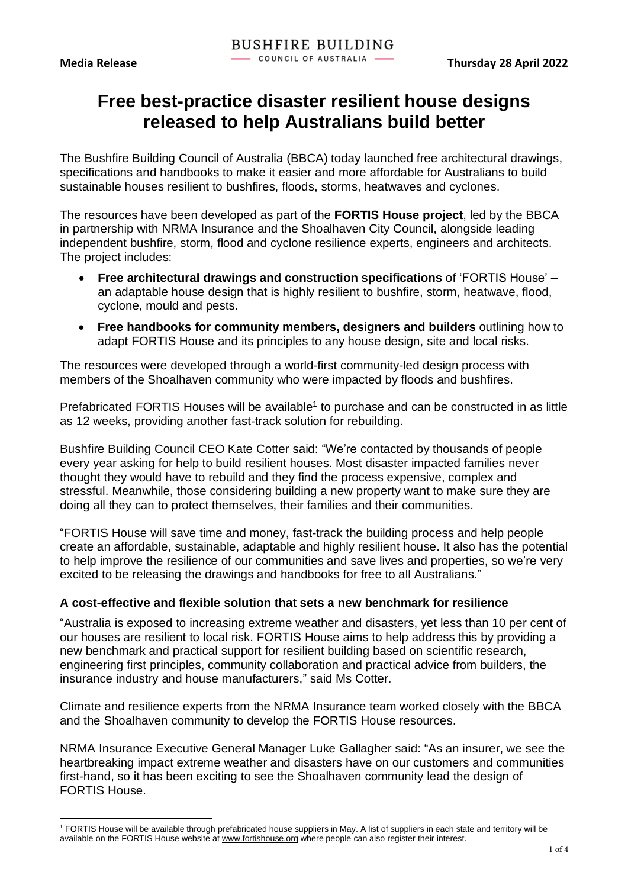# **Free best-practice disaster resilient house designs released to help Australians build better**

The Bushfire Building Council of Australia (BBCA) today launched free architectural drawings, specifications and handbooks to make it easier and more affordable for Australians to build sustainable houses resilient to bushfires, floods, storms, heatwaves and cyclones.

The resources have been developed as part of the **FORTIS House project**, led by the BBCA in partnership with NRMA Insurance and the Shoalhaven City Council, alongside leading independent bushfire, storm, flood and cyclone resilience experts, engineers and architects. The project includes:

- **Free architectural drawings and construction specifications** of 'FORTIS House' an adaptable house design that is highly resilient to bushfire, storm, heatwave, flood, cyclone, mould and pests.
- **Free handbooks for community members, designers and builders** outlining how to adapt FORTIS House and its principles to any house design, site and local risks.

The resources were developed through a world-first community-led design process with members of the Shoalhaven community who were impacted by floods and bushfires.

Prefabricated FORTIS Houses will be available<sup>1</sup> to purchase and can be constructed in as little as 12 weeks, providing another fast-track solution for rebuilding.

Bushfire Building Council CEO Kate Cotter said: "We're contacted by thousands of people every year asking for help to build resilient houses. Most disaster impacted families never thought they would have to rebuild and they find the process expensive, complex and stressful. Meanwhile, those considering building a new property want to make sure they are doing all they can to protect themselves, their families and their communities.

"FORTIS House will save time and money, fast-track the building process and help people create an affordable, sustainable, adaptable and highly resilient house. It also has the potential to help improve the resilience of our communities and save lives and properties, so we're very excited to be releasing the drawings and handbooks for free to all Australians."

#### **A cost-effective and flexible solution that sets a new benchmark for resilience**

"Australia is exposed to increasing extreme weather and disasters, yet less than 10 per cent of our houses are resilient to local risk. FORTIS House aims to help address this by providing a new benchmark and practical support for resilient building based on scientific research, engineering first principles, community collaboration and practical advice from builders, the insurance industry and house manufacturers," said Ms Cotter.

Climate and resilience experts from the NRMA Insurance team worked closely with the BBCA and the Shoalhaven community to develop the FORTIS House resources.

NRMA Insurance Executive General Manager Luke Gallagher said: "As an insurer, we see the heartbreaking impact extreme weather and disasters have on our customers and communities first-hand, so it has been exciting to see the Shoalhaven community lead the design of FORTIS House.

<sup>1</sup> FORTIS House will be available through prefabricated house suppliers in May. A list of suppliers in each state and territory will be available on the FORTIS House website at [www.fortishouse.org](http://www.fortishouse.org/) where people can also register their interest.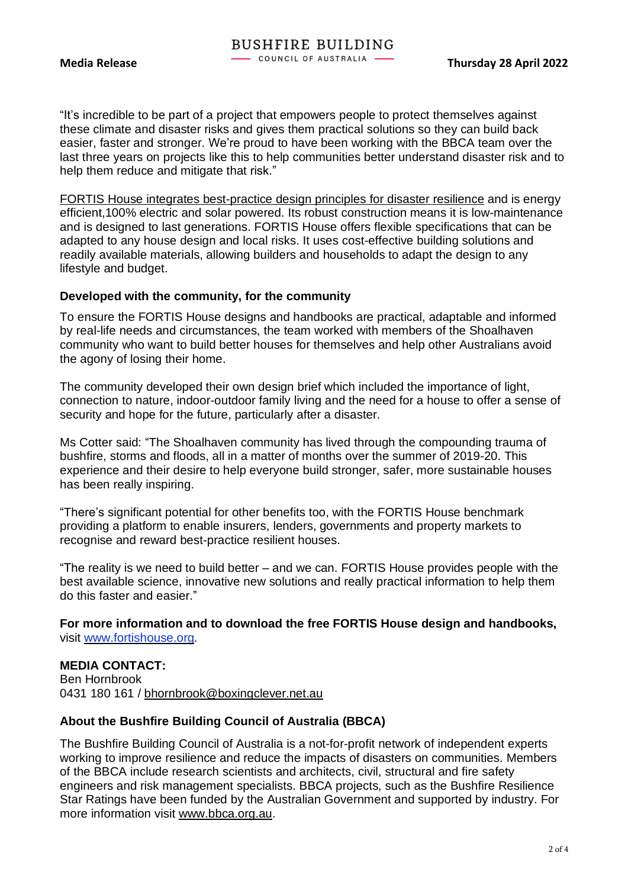"It's incredible to be part of a project that empowers people to protect themselves against these climate and disaster risks and gives them practical solutions so they can build back easier, faster and stronger. We're proud to have been working with the BBCA team over the last three years on projects like this to help communities better understand disaster risk and to help them reduce and mitigate that risk."

FORTIS House integrates best-practice design principles for disaster resilience and is energy efficient,100% electric and solar powered. Its robust construction means it is low-maintenance and is designed to last generations. FORTIS House offers flexible specifications that can be adapted to any house design and local risks. It uses cost-effective building solutions and readily available materials, allowing builders and households to adapt the design to any lifestyle and budget.

#### **Developed with the community, for the community**

To ensure the FORTIS House designs and handbooks are practical, adaptable and informed by real-life needs and circumstances, the team worked with members of the Shoalhaven community who want to build better houses for themselves and help other Australians avoid the agony of losing their home.

The community developed their own design brief which included the importance of light, connection to nature, indoor-outdoor family living and the need for a house to offer a sense of security and hope for the future, particularly after a disaster.

Ms Cotter said: "The Shoalhaven community has lived through the compounding trauma of bushfire, storms and floods, all in a matter of months over the summer of 2019-20. This experience and their desire to help everyone build stronger, safer, more sustainable houses has been really inspiring.

"There's significant potential for other benefits too, with the FORTIS House benchmark providing a platform to enable insurers, lenders, governments and property markets to recognise and reward best-practice resilient houses.

"The reality is we need to build better – and we can. FORTIS House provides people with the best available science, innovative new solutions and really practical information to help them do this faster and easier."

**For more information and to download the free FORTIS House design and handbooks,** visit [www.fortishouse.org.](http://www.fortishouse.org/)

#### **MEDIA CONTACT:**

Ben Hornbrook 0431 180 161 / [bhornbrook@boxingclever.net.au](mailto:bhornbrook@boxingclever.net.au)

#### **About the Bushfire Building Council of Australia (BBCA)**

The Bushfire Building Council of Australia is a not-for-profit network of independent experts working to improve resilience and reduce the impacts of disasters on communities. Members of the BBCA include research scientists and architects, civil, structural and fire safety engineers and risk management specialists. BBCA projects, such as the Bushfire Resilience Star Ratings have been funded by the Australian Government and supported by industry. For more information visit [www.bbca.org.au.](http://www.bbca.org.au/)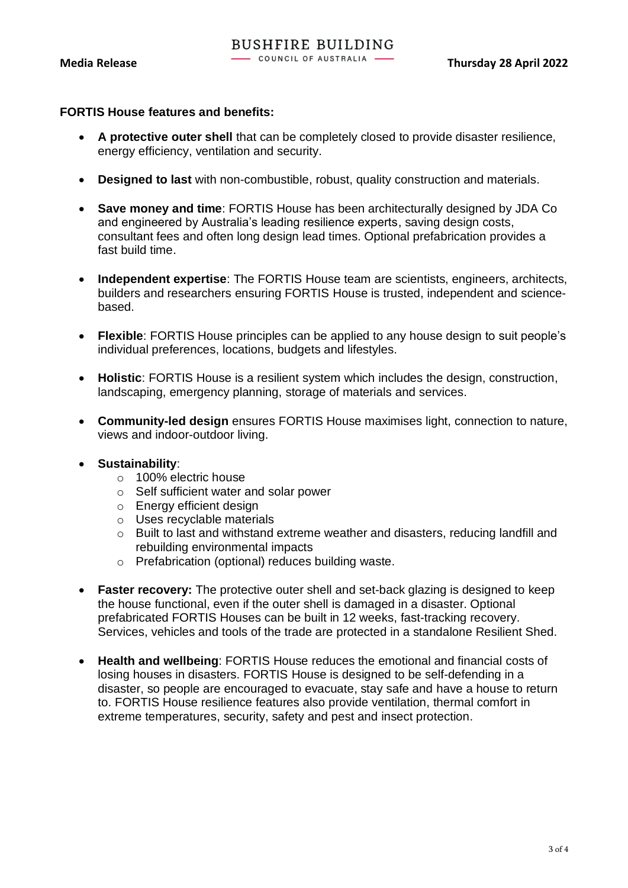# **FORTIS House features and benefits:**

- **A protective outer shell** that can be completely closed to provide disaster resilience, energy efficiency, ventilation and security.
- **Designed to last** with non-combustible, robust, quality construction and materials.
- **Save money and time**: FORTIS House has been architecturally designed by JDA Co and engineered by Australia's leading resilience experts, saving design costs, consultant fees and often long design lead times. Optional prefabrication provides a fast build time.
- **Independent expertise**: The FORTIS House team are scientists, engineers, architects, builders and researchers ensuring FORTIS House is trusted, independent and sciencebased.
- **Flexible**: FORTIS House principles can be applied to any house design to suit people's individual preferences, locations, budgets and lifestyles.
- **Holistic**: FORTIS House is a resilient system which includes the design, construction, landscaping, emergency planning, storage of materials and services.
- **Community-led design** ensures FORTIS House maximises light, connection to nature, views and indoor-outdoor living.

#### • **Sustainability**:

- o 100% electric house
- o Self sufficient water and solar power
- o Energy efficient design
- o Uses recyclable materials
- $\circ$  Built to last and withstand extreme weather and disasters, reducing landfill and rebuilding environmental impacts
- o Prefabrication (optional) reduces building waste.
- **Faster recovery:** The protective outer shell and set-back glazing is designed to keep the house functional, even if the outer shell is damaged in a disaster. Optional prefabricated FORTIS Houses can be built in 12 weeks, fast-tracking recovery. Services, vehicles and tools of the trade are protected in a standalone Resilient Shed.
- **Health and wellbeing**: FORTIS House reduces the emotional and financial costs of losing houses in disasters. FORTIS House is designed to be self-defending in a disaster, so people are encouraged to evacuate, stay safe and have a house to return to. FORTIS House resilience features also provide ventilation, thermal comfort in extreme temperatures, security, safety and pest and insect protection.